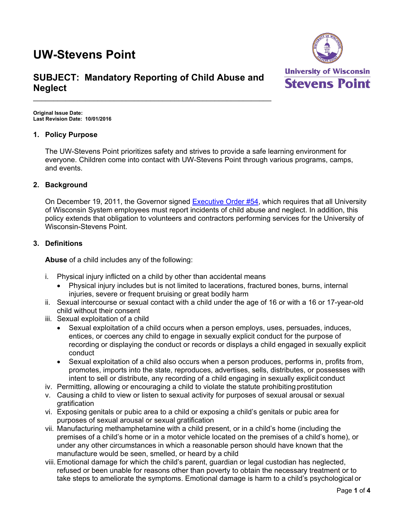# **UW-Stevens Point**



# **SUBJECT: Mandatory Reporting of Child Abuse and Neglect**

\_\_\_\_\_\_\_\_\_\_\_\_\_\_\_\_\_\_\_\_\_\_\_\_\_\_\_\_\_\_\_\_\_\_\_\_\_\_\_\_\_\_\_\_\_\_\_\_\_\_\_\_\_\_\_\_\_\_\_

**Original Issue Date: Last Revision Date: 10/01/2016** 

# **1. Policy Purpose**

The UW-Stevens Point prioritizes safety and strives to provide a safe learning environment for everyone. Children come into contact with UW-Stevens Point through various programs, camps, and events.

# **2. Background**

On December 19, 2011, the Governor signed Executive Order #54, which requires that all University of Wisconsin System employees must report incidents of child abuse and neglect. In addition, this policy extends that obligation to volunteers and contractors performing services for the University of Wisconsin-Stevens Point.

# **3. Definitions**

**Abuse** of a child includes any of the following:

- i. Physical injury inflicted on a child by other than accidental means
	- Physical injury includes but is not limited to lacerations, fractured bones, burns, internal injuries, severe or frequent bruising or great bodily harm
- ii. Sexual intercourse or sexual contact with a child under the age of 16 or with a 16 or 17-year-old child without their consent
- iii. Sexual exploitation of a child
	- Sexual exploitation of a child occurs when a person employs, uses, persuades, induces, entices, or coerces any child to engage in sexually explicit conduct for the purpose of recording or displaying the conduct or records or displays a child engaged in sexually explicit conduct
	- Sexual exploitation of a child also occurs when a person produces, performs in, profits from, promotes, imports into the state, reproduces, advertises, sells, distributes, or possesses with intent to sell or distribute, any recording of a child engaging in sexually explicit conduct
- iv. Permitting, allowing or encouraging a child to violate the statute prohibiting prostitution
- v. Causing a child to view or listen to sexual activity for purposes of sexual arousal or sexual gratification
- vi. Exposing genitals or pubic area to a child or exposing a child's genitals or pubic area for purposes of sexual arousal or sexual gratification
- vii. Manufacturing methamphetamine with a child present, or in a child's home (including the premises of a child's home or in a motor vehicle located on the premises of a child's home), or under any other circumstances in which a reasonable person should have known that the manufacture would be seen, smelled, or heard by a child
- viii. Emotional damage for which the child's parent, guardian or legal custodian has neglected, refused or been unable for reasons other than poverty to obtain the necessary treatment or to take steps to ameliorate the symptoms. Emotional damage is harm to a child's psychological or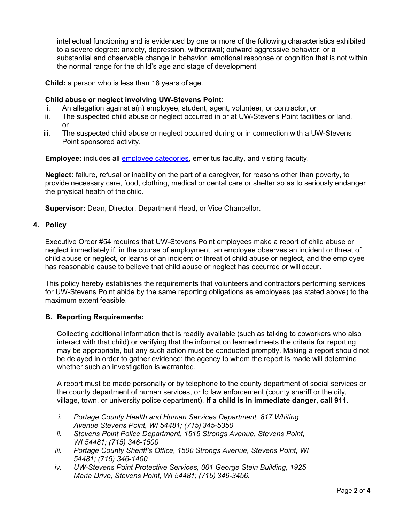intellectual functioning and is evidenced by one or more of the following characteristics exhibited to a severe degree: anxiety, depression, withdrawal; outward aggressive behavior; or a substantial and observable change in behavior, emotional response or cognition that is not within the normal range for the child's age and stage of development

**Child:** a person who is less than 18 years of age.

# **Child abuse or neglect involving UW-Stevens Point**:

- i. An allegation against a(n) employee, student, agent, volunteer, or contractor, or
- ii. The suspected child abuse or neglect occurred in or at UW-Stevens Point facilities or land, or
- iii. The suspected child abuse or neglect occurred during or in connection with a UW-Stevens Point sponsored activity.

**Employee:** includes all employee categories, emeritus faculty, and visiting faculty.

**Neglect:** failure, refusal or inability on the part of a caregiver, for reasons other than poverty, to provide necessary care, food, clothing, medical or dental care or shelter so as to seriously endanger the physical health of the child.

**Supervisor:** Dean, Director, Department Head, or Vice Chancellor.

#### **4. Policy**

Executive Order #54 requires that UW-Stevens Point employees make a report of child abuse or neglect immediately if, in the course of employment, an employee observes an incident or threat of child abuse or neglect, or learns of an incident or threat of child abuse or neglect, and the employee has reasonable cause to believe that child abuse or neglect has occurred or will occur.

This policy hereby establishes the requirements that volunteers and contractors performing services for UW-Stevens Point abide by the same reporting obligations as employees (as stated above) to the maximum extent feasible.

#### **B. Reporting Requirements:**

Collecting additional information that is readily available (such as talking to coworkers who also interact with that child) or verifying that the information learned meets the criteria for reporting may be appropriate, but any such action must be conducted promptly. Making a report should not be delayed in order to gather evidence; the agency to whom the report is made will determine whether such an investigation is warranted.

A report must be made personally or by telephone to the county department of social services or the county department of human services, or to law enforcement (county sheriff or the city, village, town, or university police department). **If a child is in immediate danger, call 911.**

- *i. Portage County Health and Human Services Department, 817 Whiting Avenue Stevens Point, WI 54481; (715) 345-5350*
- *ii. Stevens Point Police Department, 1515 Strongs Avenue, Stevens Point, WI 54481; (715) 346-1500*
- *iii. Portage County Sheriff's Office, 1500 Strongs Avenue, Stevens Point, WI 54481; (715) 346-1400*
- *iv. UW-Stevens Point Protective Services, 001 George Stein Building, 1925 Maria Drive, Stevens Point, WI 54481; (715) 346-3456.*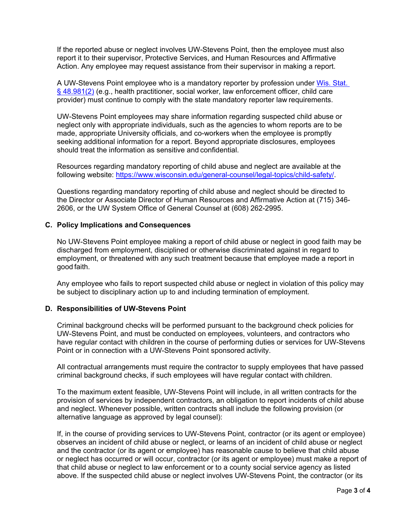If the reported abuse or neglect involves UW-Stevens Point, then the employee must also report it to their supervisor, Protective Services, and Human Resources and Affirmative Action. Any employee may request assistance from their supervisor in making a report.

A UW-Stevens Point employee who is a mandatory reporter by profession under Wis. Stat. § 48.981(2) (e.g., health practitioner, social worker, law enforcement officer, child care provider) must continue to comply with the state mandatory reporter law requirements.

UW-Stevens Point employees may share information regarding suspected child abuse or neglect only with appropriate individuals, such as the agencies to whom reports are to be made, appropriate University officials, and co-workers when the employee is promptly seeking additional information for a report. Beyond appropriate disclosures, employees should treat the information as sensitive and confidential.

Resources regarding mandatory reporting of child abuse and neglect are available at the following website: https://www.wisconsin.edu/general-counsel/legal-topics/child-safety/.

Questions regarding mandatory reporting of child abuse and neglect should be directed to the Director or Associate Director of Human Resources and Affirmative Action at (715) 346- 2606, or the UW System Office of General Counsel at (608) 262-2995.

#### **C. Policy Implications and Consequences**

No UW-Stevens Point employee making a report of child abuse or neglect in good faith may be discharged from employment, disciplined or otherwise discriminated against in regard to employment, or threatened with any such treatment because that employee made a report in good faith.

Any employee who fails to report suspected child abuse or neglect in violation of this policy may be subject to disciplinary action up to and including termination of employment.

#### **D. Responsibilities of UW-Stevens Point**

Criminal background checks will be performed pursuant to the background check policies for UW-Stevens Point, and must be conducted on employees, volunteers, and contractors who have regular contact with children in the course of performing duties or services for UW-Stevens Point or in connection with a UW-Stevens Point sponsored activity.

All contractual arrangements must require the contractor to supply employees that have passed criminal background checks, if such employees will have regular contact with children.

To the maximum extent feasible, UW-Stevens Point will include, in all written contracts for the provision of services by independent contractors, an obligation to report incidents of child abuse and neglect. Whenever possible, written contracts shall include the following provision (or alternative language as approved by legal counsel):

If, in the course of providing services to UW-Stevens Point, contractor (or its agent or employee) observes an incident of child abuse or neglect, or learns of an incident of child abuse or neglect and the contractor (or its agent or employee) has reasonable cause to believe that child abuse or neglect has occurred or will occur, contractor (or its agent or employee) must make a report of that child abuse or neglect to law enforcement or to a county social service agency as listed above. If the suspected child abuse or neglect involves UW-Stevens Point, the contractor (or its